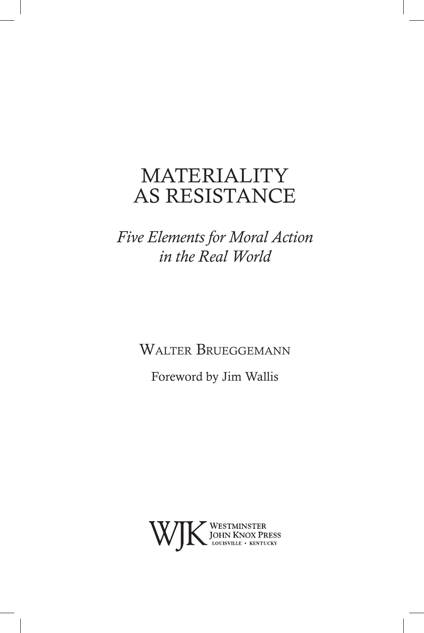## MATERIALITY AS RESISTANCE

*Five Elements for Moral Action in the Real World*

WALTER BRUEGGEMANN

Foreword by Jim Wallis

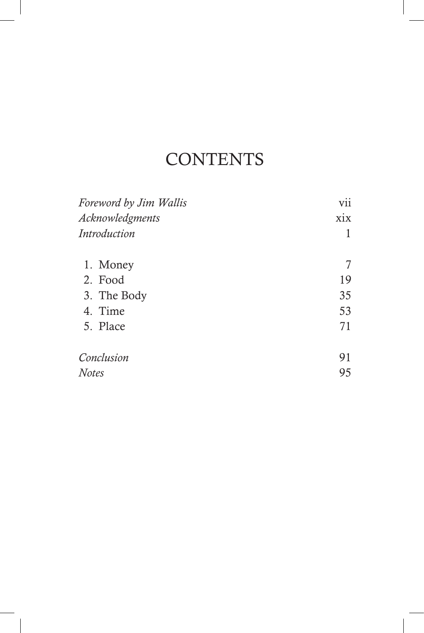## **CONTENTS**

| Foreword by Jim Wallis | vii        |
|------------------------|------------|
| Acknowledgments        | <b>XIX</b> |
| Introduction           | 1          |
| 1. Money               | 7          |
| 2. Food                | 19         |
| 3. The Body            | 35         |
| 4. Time                | 53         |
| 5. Place               | 71         |
| Conclusion             | 91         |
| <b>Notes</b>           | 95         |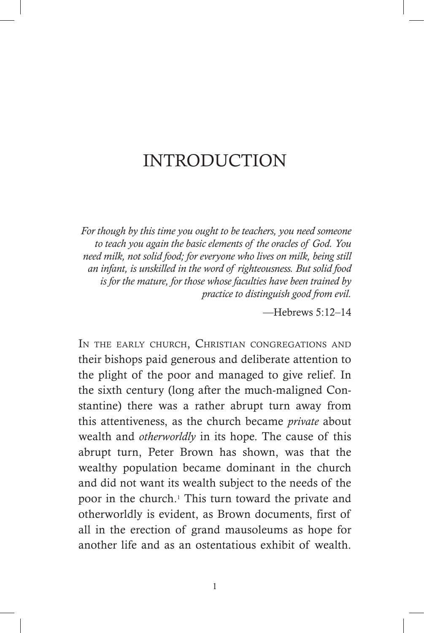## INTRODUCTION

*For though by this time you ought to be teachers, you need someone to teach you again the basic elements of the oracles of God. You need milk, not solid food; for everyone who lives on milk, being still an infant, is unskilled in the word of righteousness. But solid food is for the mature, for those whose faculties have been trained by practice to distinguish good from evil.* 

—Hebrews 5:12–14

IN THE EARLY CHURCH, CHRISTIAN CONGREGATIONS AND their bishops paid generous and deliberate attention to the plight of the poor and managed to give relief. In the sixth century (long after the much-maligned Constantine) there was a rather abrupt turn away from this attentiveness, as the church became *private* about wealth and *otherworldly* in its hope. The cause of this abrupt turn, Peter Brown has shown, was that the wealthy population became dominant in the church and did not want its wealth subject to the needs of the poor in the church.<sup>1</sup> This turn toward the private and otherworldly is evident, as Brown documents, first of all in the erection of grand mausoleums as hope for another life and as an ostentatious exhibit of wealth.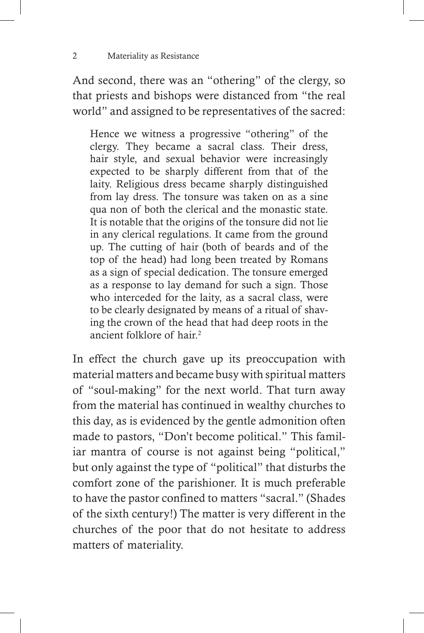And second, there was an "othering" of the clergy, so that priests and bishops were distanced from "the real world" and assigned to be representatives of the sacred:

Hence we witness a progressive "othering" of the clergy. They became a sacral class. Their dress, hair style, and sexual behavior were increasingly expected to be sharply different from that of the laity. Religious dress became sharply distinguished from lay dress. The tonsure was taken on as a sine qua non of both the clerical and the monastic state. It is notable that the origins of the tonsure did not lie in any clerical regulations. It came from the ground up. The cutting of hair (both of beards and of the top of the head) had long been treated by Romans as a sign of special dedication. The tonsure emerged as a response to lay demand for such a sign. Those who interceded for the laity, as a sacral class, were to be clearly designated by means of a ritual of shaving the crown of the head that had deep roots in the ancient folklore of hair.2

In effect the church gave up its preoccupation with material matters and became busy with spiritual matters of "soul-making" for the next world. That turn away from the material has continued in wealthy churches to this day, as is evidenced by the gentle admonition often made to pastors, "Don't become political." This familiar mantra of course is not against being "political," but only against the type of "political" that disturbs the comfort zone of the parishioner. It is much preferable to have the pastor confined to matters "sacral." (Shades of the sixth century!) The matter is very different in the churches of the poor that do not hesitate to address matters of materiality.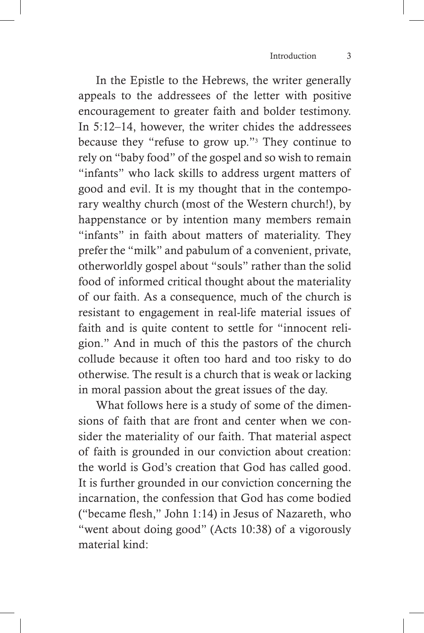In the Epistle to the Hebrews, the writer generally appeals to the addressees of the letter with positive encouragement to greater faith and bolder testimony. In 5:12–14, however, the writer chides the addressees because they "refuse to grow up."3 They continue to rely on "baby food" of the gospel and so wish to remain "infants" who lack skills to address urgent matters of good and evil. It is my thought that in the contemporary wealthy church (most of the Western church!), by happenstance or by intention many members remain "infants" in faith about matters of materiality. They prefer the "milk" and pabulum of a convenient, private, otherworldly gospel about "souls" rather than the solid food of informed critical thought about the materiality of our faith. As a consequence, much of the church is resistant to engagement in real-life material issues of faith and is quite content to settle for "innocent religion." And in much of this the pastors of the church collude because it often too hard and too risky to do otherwise. The result is a church that is weak or lacking in moral passion about the great issues of the day.

What follows here is a study of some of the dimensions of faith that are front and center when we consider the materiality of our faith. That material aspect of faith is grounded in our conviction about creation: the world is God's creation that God has called good. It is further grounded in our conviction concerning the incarnation, the confession that God has come bodied ("became flesh," John 1:14) in Jesus of Nazareth, who "went about doing good" (Acts 10:38) of a vigorously material kind: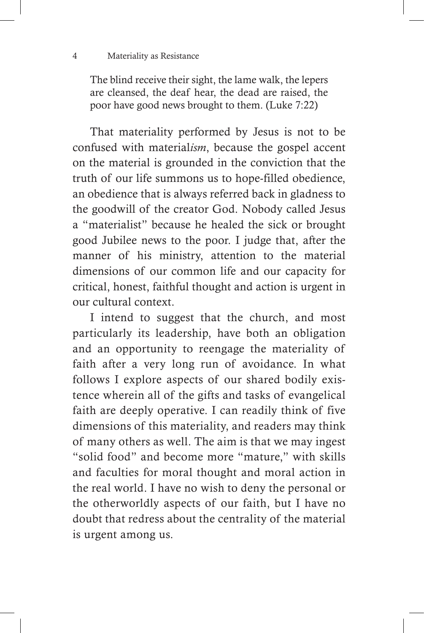The blind receive their sight, the lame walk, the lepers are cleansed, the deaf hear, the dead are raised, the poor have good news brought to them. (Luke 7:22)

That materiality performed by Jesus is not to be confused with material*ism*, because the gospel accent on the material is grounded in the conviction that the truth of our life summons us to hope-filled obedience, an obedience that is always referred back in gladness to the goodwill of the creator God. Nobody called Jesus a "materialist" because he healed the sick or brought good Jubilee news to the poor. I judge that, after the manner of his ministry, attention to the material dimensions of our common life and our capacity for critical, honest, faithful thought and action is urgent in our cultural context.

I intend to suggest that the church, and most particularly its leadership, have both an obligation and an opportunity to reengage the materiality of faith after a very long run of avoidance. In what follows I explore aspects of our shared bodily existence wherein all of the gifts and tasks of evangelical faith are deeply operative. I can readily think of five dimensions of this materiality, and readers may think of many others as well. The aim is that we may ingest "solid food" and become more "mature," with skills and faculties for moral thought and moral action in the real world. I have no wish to deny the personal or the otherworldly aspects of our faith, but I have no doubt that redress about the centrality of the material is urgent among us.